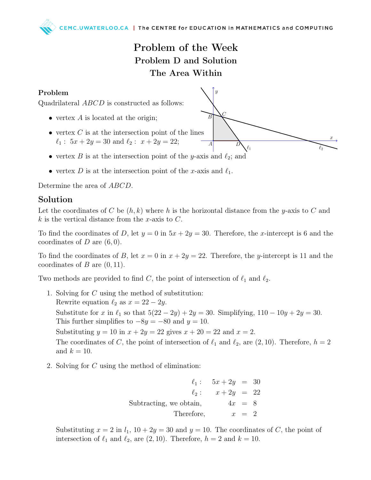## Problem of the Week Problem D and Solution The Area Within

 $\overline{B}$ 

 $\overline{A}$ 

 $\ell_1$ 

## Problem



- vertex  $A$  is located at the origin;
- vertex  $C$  is at the intersection point of the lines  $\ell_1$ : 5x + 2y = 30 and  $\ell_2$ : x + 2y = 22;
- vertex B is at the intersection point of the y-axis and  $\ell_2$ ; and
- vertex D is at the intersection point of the x-axis and  $\ell_1$ .

Determine the area of ABCD.

## Solution

Let the coordinates of C be  $(h, k)$  where h is the horizontal distance from the y-axis to C and  $k$  is the vertical distance from the x-axis to  $C$ .

To find the coordinates of D, let  $y = 0$  in  $5x + 2y = 30$ . Therefore, the x-intercept is 6 and the coordinates of  $D$  are  $(6, 0)$ .

To find the coordinates of B, let  $x = 0$  in  $x + 2y = 22$ . Therefore, the y-intercept is 11 and the coordinates of  $B$  are  $(0, 11)$ .

Two methods are provided to find C, the point of intersection of  $\ell_1$  and  $\ell_2$ .

- 1. Solving for C using the method of substitution: Rewrite equation  $\ell_2$  as  $x = 22 - 2y$ . Substitute for x in  $\ell_1$  so that  $5(22 - 2y) + 2y = 30$ . Simplifying,  $110 - 10y + 2y = 30$ . This further simplifies to  $-8y = -80$  and  $y = 10$ . Substituting  $y = 10$  in  $x + 2y = 22$  gives  $x + 20 = 22$  and  $x = 2$ . The coordinates of C, the point of intersection of  $\ell_1$  and  $\ell_2$ , are  $(2, 10)$ . Therefore,  $h = 2$ and  $k = 10$ .
- 2. Solving for C using the method of elimination:

 $\ell_1 : 5x + 2y = 30$  $\ell_2 : x + 2y = 22$ Subtracting, we obtain,  $4x = 8$ Therefore,  $x = 2$ 

Substituting  $x = 2$  in  $l_1$ ,  $10 + 2y = 30$  and  $y = 10$ . The coordinates of C, the point of intersection of  $\ell_1$  and  $\ell_2$ , are  $(2, 10)$ . Therefore,  $h = 2$  and  $k = 10$ .